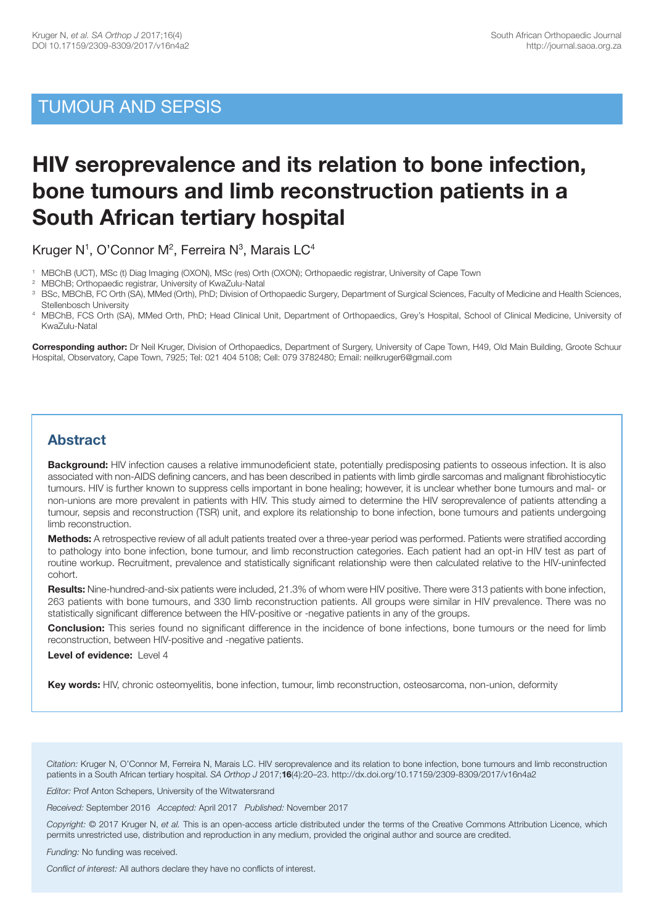## TUMOUR AND SEPSIS

# **HIV seroprevalence and its relation to bone infection, bone tumours and limb reconstruction patients in a South African tertiary hospital**

Kruger N<sup>1</sup>, O'Connor M<sup>2</sup>, Ferreira N<sup>3</sup>, Marais LC<sup>4</sup>

- 1 MBChB (UCT), MSc (t) Diag Imaging (OXON), MSc (res) Orth (OXON); Orthopaedic registrar, University of Cape Town
- 2 MBChB; Orthopaedic registrar, University of KwaZulu-Natal
- <sup>3</sup> BSc, MBChB, FC Orth (SA), MMed (Orth), PhD; Division of Orthopaedic Surgery, Department of Surgical Sciences, Faculty of Medicine and Health Sciences, Stellenbosch University
- 4 MBChB, FCS Orth (SA), MMed Orth, PhD; Head Clinical Unit, Department of Orthopaedics, Grey's Hospital, School of Clinical Medicine, University of KwaZulu-Natal

**Corresponding author:** Dr Neil Kruger, Division of Orthopaedics, Department of Surgery, University of Cape Town, H49, Old Main Building, Groote Schuur Hospital, Observatory, Cape Town, 7925; Tel: 021 404 5108; Cell: 079 3782480; Email: neilkruger6@gmail.com

### **Abstract**

**Background:** HIV infection causes a relative immunodeficient state, potentially predisposing patients to osseous infection. It is also associated with non-AIDS defining cancers, and has been described in patients with limb girdle sarcomas and malignant fibrohistiocytic tumours. HIV is further known to suppress cells important in bone healing; however, it is unclear whether bone tumours and mal- or non-unions are more prevalent in patients with HIV. This study aimed to determine the HIV seroprevalence of patients attending a tumour, sepsis and reconstruction (TSR) unit, and explore its relationship to bone infection, bone tumours and patients undergoing limb reconstruction.

**Methods:** A retrospective review of all adult patients treated over a three-year period was performed. Patients were stratified according to pathology into bone infection, bone tumour, and limb reconstruction categories. Each patient had an opt-in HIV test as part of routine workup. Recruitment, prevalence and statistically significant relationship were then calculated relative to the HIV-uninfected cohort.

**Results:** Nine-hundred-and-six patients were included, 21.3% of whom were HIV positive. There were 313 patients with bone infection, 263 patients with bone tumours, and 330 limb reconstruction patients. All groups were similar in HIV prevalence. There was no statistically significant difference between the HIV-positive or -negative patients in any of the groups.

**Conclusion:** This series found no significant difference in the incidence of bone infections, bone tumours or the need for limb reconstruction, between HIV-positive and -negative patients.

**Level of evidence:** Level 4

**Key words:** HIV, chronic osteomyelitis, bone infection, tumour, limb reconstruction, osteosarcoma, non-union, deformity

*Citation:* Kruger N, O'Connor M, Ferreira N, Marais LC. HIV seroprevalence and its relation to bone infection, bone tumours and limb reconstruction patients in a South African tertiary hospital. *SA Orthop J* 2017;**16**(4):20–23. http://dx.doi.org/10.17159/2309-8309/2017/v16n4a2

*Editor:* Prof Anton Schepers, University of the Witwatersrand

*Received:* September 2016 *Accepted:* April 2017 *Published:* November 2017

*Copyright:* © 2017 Kruger N, *et al.* This is an open-access article distributed under the terms of the Creative Commons Attribution Licence, which permits unrestricted use, distribution and reproduction in any medium, provided the original author and source are credited.

*Funding:* No funding was received.

*Conflict of interest:* All authors declare they have no conflicts of interest.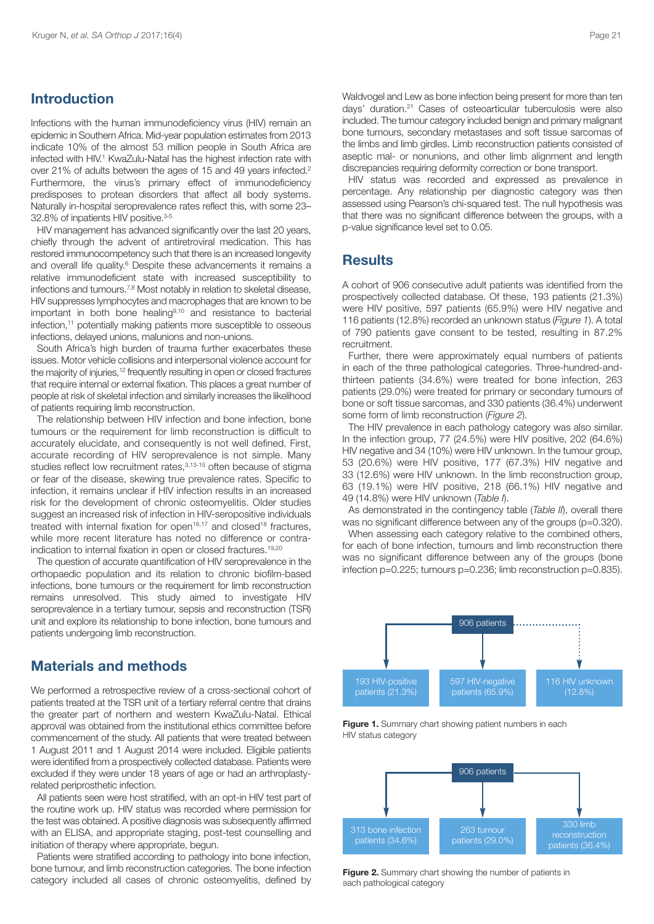#### **Introduction**

Infections with the human immunodeficiency virus (HIV) remain an epidemic in Southern Africa. Mid-year population estimates from 2013 indicate 10% of the almost 53 million people in South Africa are infected with HIV. <sup>1</sup> KwaZulu-Natal has the highest infection rate with over 21% of adults between the ages of 15 and 49 years infected. 2 Furthermore, the virus's primary effect of immunodeficiency predisposes to protean disorders that affect all body systems. Naturally in-hospital seroprevalence rates reflect this, with some 23– 32.8% of inpatients HIV positive. 3-5

HIV management has advanced significantly over the last 20 years, chiefly through the advent of antiretroviral medication. This has restored immunocompetency such that there is an increased longevity and overall life quality. <sup>6</sup> Despite these advancements it remains a relative immunodeficient state with increased susceptibility to infections and tumours.<sup>7,8</sup> Most notably in relation to skeletal disease, HIV suppresses lymphocytes and macrophages that are known to be important in both bone healing9,10 and resistance to bacterial infection, <sup>11</sup> potentially making patients more susceptible to osseous infections, delayed unions, malunions and non-unions.

South Africa's high burden of trauma further exacerbates these issues. Motor vehicle collisions and interpersonal violence account for the majority of injuries, <sup>12</sup> frequently resulting in open or closed fractures that require internal or external fixation. This places a great number of people at risk of skeletal infection and similarly increases the likelihood of patients requiring limb reconstruction.

The relationship between HIV infection and bone infection, bone tumours or the requirement for limb reconstruction is difficult to accurately elucidate, and consequently is not well defined. First, accurate recording of HIV seroprevalence is not simple. Many studies reflect low recruitment rates,<sup>3,13-15</sup> often because of stigma or fear of the disease, skewing true prevalence rates. Specific to infection, it remains unclear if HIV infection results in an increased risk for the development of chronic osteomyelitis. Older studies suggest an increased risk of infection in HIV-seropositive individuals treated with internal fixation for open $16,17$  and closed<sup>18</sup> fractures, while more recent literature has noted no difference or contraindication to internal fixation in open or closed fractures. 19,20

The question of accurate quantification of HIV seroprevalence in the orthopaedic population and its relation to chronic biofilm-based infections, bone tumours or the requirement for limb reconstruction remains unresolved. This study aimed to investigate HIV seroprevalence in a tertiary tumour, sepsis and reconstruction (TSR) unit and explore its relationship to bone infection, bone tumours and patients undergoing limb reconstruction.

#### **Materials and methods**

We performed a retrospective review of a cross-sectional cohort of patients treated at the TSR unit of a tertiary referral centre that drains the greater part of northern and western KwaZulu-Natal. Ethical approval was obtained from the institutional ethics committee before commencement of the study. All patients that were treated between 1 August 2011 and 1 August 2014 were included. Eligible patients were identified from a prospectively collected database. Patients were excluded if they were under 18 years of age or had an arthroplastyrelated periprosthetic infection.

All patients seen were host stratified, with an opt-in HIV test part of the routine work up. HIV status was recorded where permission for the test was obtained. A positive diagnosis was subsequently affirmed with an ELISA, and appropriate staging, post-test counselling and initiation of therapy where appropriate, begun.

Patients were stratified according to pathology into bone infection, bone tumour, and limb reconstruction categories. The bone infection category included all cases of chronic osteomyelitis, defined by Waldvogel and Lew as bone infection being present for more than ten days' duration. <sup>21</sup> Cases of osteoarticular tuberculosis were also included. The tumour category included benign and primary malignant bone tumours, secondary metastases and soft tissue sarcomas of the limbs and limb girdles. Limb reconstruction patients consisted of aseptic mal- or nonunions, and other limb alignment and length discrepancies requiring deformity correction or bone transport.

HIV status was recorded and expressed as prevalence in percentage. Any relationship per diagnostic category was then assessed using Pearson's chi-squared test. The null hypothesis was that there was no significant difference between the groups, with a p-value significance level set to 0.05.

#### **Results**

A cohort of 906 consecutive adult patients was identified from the prospectively collected database. Of these, 193 patients (21.3%) were HIV positive, 597 patients (65.9%) were HIV negative and 116 patients (12.8%) recorded an unknown status (*Figure 1*). A total of 790 patients gave consent to be tested, resulting in 87.2% recruitment.

Further, there were approximately equal numbers of patients in each of the three pathological categories. Three-hundred-andthirteen patients (34.6%) were treated for bone infection, 263 patients (29.0%) were treated for primary or secondary tumours of bone or soft tissue sarcomas, and 330 patients (36.4%) underwent some form of limb reconstruction (*Figure 2*).

The HIV prevalence in each pathology category was also similar. In the infection group, 77 (24.5%) were HIV positive, 202 (64.6%) HIV negative and 34 (10%) were HIV unknown. In the tumour group, 53 (20.6%) were HIV positive, 177 (67.3%) HIV negative and 33 (12.6%) were HIV unknown. In the limb reconstruction group, 63 (19.1%) were HIV positive, 218 (66.1%) HIV negative and 49 (14.8%) were HIV unknown (*Table I*).

As demonstrated in the contingency table (*Table II*), overall there was no significant difference between any of the groups (p=0.320).

When assessing each category relative to the combined others, for each of bone infection, tumours and limb reconstruction there was no significant difference between any of the groups (bone infection p=0.225; tumours p=0.236; limb reconstruction p=0.835).



**Figure 1.** Summary chart showing patient numbers in each HIV status category



**Figure 2.** Summary chart showing the number of patients in each pathological category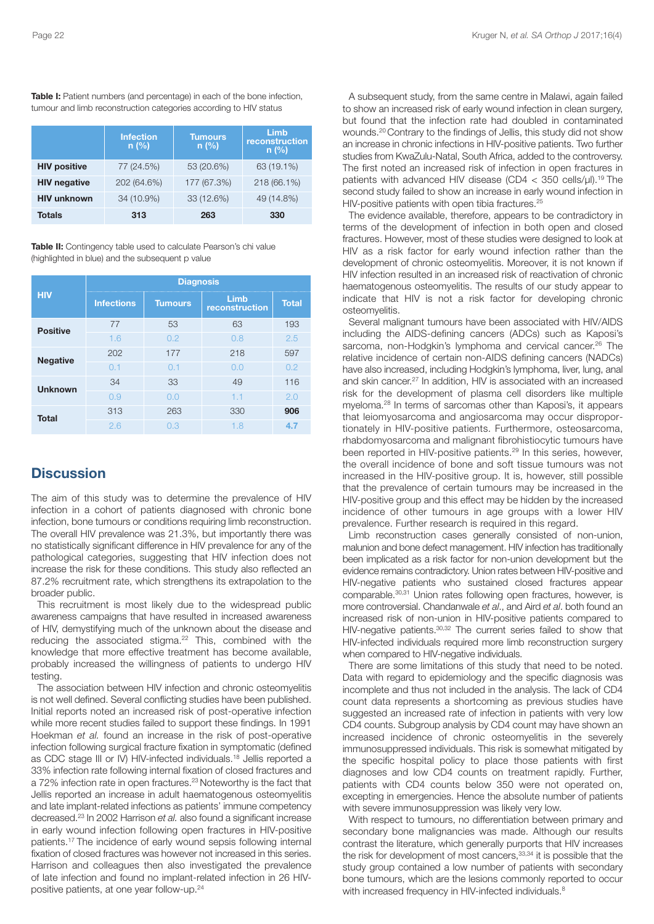|                     | <b>Infection</b><br>$n$ (%) | <b>Tumours</b><br>$n$ (%) | Limb<br>reconstruction<br>$n$ (%) |
|---------------------|-----------------------------|---------------------------|-----------------------------------|
| <b>HIV positive</b> | 77 (24.5%)                  | 53 (20.6%)                | 63 (19.1%)                        |
| <b>HIV negative</b> | 202 (64.6%)                 | 177 (67.3%)               | 218 (66.1%)                       |
| <b>HIV unknown</b>  | 34 (10.9%)                  | 33 (12.6%)                | 49 (14.8%)                        |
| Totals              | 313                         | 263                       | 330                               |

**Table I:** Patient numbers (and percentage) in each of the bone infection, tumour and limb reconstruction categories according to HIV status

**Table II:** Contingency table used to calculate Pearson's chi value (highlighted in blue) and the subsequent p value

| <b>HIV</b>      | <b>Diagnosis</b>  |                |                        |              |  |
|-----------------|-------------------|----------------|------------------------|--------------|--|
|                 | <b>Infections</b> | <b>Tumours</b> | Limb<br>reconstruction | <b>Total</b> |  |
| <b>Positive</b> | 77                | 53             | 63                     | 193          |  |
|                 | 1.6               | 0.2            | 0.8                    | 2.5          |  |
| <b>Negative</b> | 202               | 177            | 218                    | 597          |  |
|                 | 0.1               | 0.1            | 0.0                    | 0.2          |  |
| <b>Unknown</b>  | 34                | 33             | 49                     | 116          |  |
|                 | 0.9               | 0.0            | 1.1                    | 2.0          |  |
| <b>Total</b>    | 313               | 263            | 330                    | 906          |  |
|                 | 2.6               | 0.3            | 1.8                    | 4.7          |  |

## **Discussion**

The aim of this study was to determine the prevalence of HIV infection in a cohort of patients diagnosed with chronic bone infection, bone tumours or conditions requiring limb reconstruction. The overall HIV prevalence was 21.3%, but importantly there was no statistically significant difference in HIV prevalence for any of the pathological categories, suggesting that HIV infection does not increase the risk for these conditions. This study also reflected an 87.2% recruitment rate, which strengthens its extrapolation to the broader public.

This recruitment is most likely due to the widespread public awareness campaigns that have resulted in increased awareness of HIV, demystifying much of the unknown about the disease and reducing the associated stigma. <sup>22</sup> This, combined with the knowledge that more effective treatment has become available, probably increased the willingness of patients to undergo HIV testing.

The association between HIV infection and chronic osteomyelitis is not well defined. Several conflicting studies have been published. Initial reports noted an increased risk of post-operative infection while more recent studies failed to support these findings. In 1991 Hoekman *et al.* found an increase in the risk of post-operative infection following surgical fracture fixation in symptomatic (defined as CDC stage III or IV) HIV-infected individuals. <sup>18</sup> Jellis reported a 33% infection rate following internal fixation of closed fractures and a 72% infection rate in open fractures. <sup>23</sup> Noteworthy is the fact that Jellis reported an increase in adult haematogenous osteomyelitis and late implant-related infections as patients' immune competency decreased. <sup>23</sup> In 2002 Harrison *et al.* also found a significant increase in early wound infection following open fractures in HIV-positive patients. <sup>17</sup> The incidence of early wound sepsis following internal fixation of closed fractures was however not increased in this series. Harrison and colleagues then also investigated the prevalence of late infection and found no implant-related infection in 26 HIVpositive patients, at one year follow-up. 24

A subsequent study, from the same centre in Malawi, again failed to show an increased risk of early wound infection in clean surgery, but found that the infection rate had doubled in contaminated wounds. <sup>20</sup> Contrary to the findings of Jellis, this study did not show an increase in chronic infections in HIV-positive patients. Two further studies from KwaZulu-Natal, South Africa, added to the controversy. The first noted an increased risk of infection in open fractures in patients with advanced HIV disease (CD4 < 350 cells/μl). <sup>19</sup> The second study failed to show an increase in early wound infection in HIV-positive patients with open tibia fractures.<sup>25</sup>

The evidence available, therefore, appears to be contradictory in terms of the development of infection in both open and closed fractures. However, most of these studies were designed to look at HIV as a risk factor for early wound infection rather than the development of chronic osteomyelitis. Moreover, it is not known if HIV infection resulted in an increased risk of reactivation of chronic haematogenous osteomyelitis. The results of our study appear to indicate that HIV is not a risk factor for developing chronic osteomyelitis.

Several malignant tumours have been associated with HIV/AIDS including the AIDS-defining cancers (ADCs) such as Kaposi's sarcoma, non-Hodgkin's lymphoma and cervical cancer.<sup>26</sup> The relative incidence of certain non-AIDS defining cancers (NADCs) have also increased, including Hodgkin's lymphoma, liver, lung, anal and skin cancer. <sup>27</sup> In addition, HIV is associated with an increased risk for the development of plasma cell disorders like multiple myeloma. <sup>28</sup> In terms of sarcomas other than Kaposi's, it appears that leiomyosarcoma and angiosarcoma may occur disproportionately in HIV-positive patients. Furthermore, osteosarcoma, rhabdomyosarcoma and malignant fibrohistiocytic tumours have been reported in HIV-positive patients. <sup>29</sup> In this series, however, the overall incidence of bone and soft tissue tumours was not increased in the HIV-positive group. It is, however, still possible that the prevalence of certain tumours may be increased in the HIV-positive group and this effect may be hidden by the increased incidence of other tumours in age groups with a lower HIV prevalence. Further research is required in this regard.

Limb reconstruction cases generally consisted of non-union, malunion and bone defect management. HIV infection has traditionally been implicated as a risk factor for non-union development but the evidence remains contradictory. Union rates between HIV-positive and HIV-negative patients who sustained closed fractures appear comparable. 30,31 Union rates following open fractures, however, is more controversial. Chandanwale *et al*., and Aird *et al*. both found an increased risk of non-union in HIV-positive patients compared to HIV-negative patients.<sup>30,32</sup> The current series failed to show that HIV-infected individuals required more limb reconstruction surgery when compared to HIV-negative individuals.

There are some limitations of this study that need to be noted. Data with regard to epidemiology and the specific diagnosis was incomplete and thus not included in the analysis. The lack of CD4 count data represents a shortcoming as previous studies have suggested an increased rate of infection in patients with very low CD4 counts. Subgroup analysis by CD4 count may have shown an increased incidence of chronic osteomyelitis in the severely immunosuppressed individuals. This risk is somewhat mitigated by the specific hospital policy to place those patients with first diagnoses and low CD4 counts on treatment rapidly. Further, patients with CD4 counts below 350 were not operated on, excepting in emergencies. Hence the absolute number of patients with severe immunosuppression was likely very low.

With respect to tumours, no differentiation between primary and secondary bone malignancies was made. Although our results contrast the literature, which generally purports that HIV increases the risk for development of most cancers,<sup>33,34</sup> it is possible that the study group contained a low number of patients with secondary bone tumours, which are the lesions commonly reported to occur with increased frequency in HIV-infected individuals.<sup>8</sup>